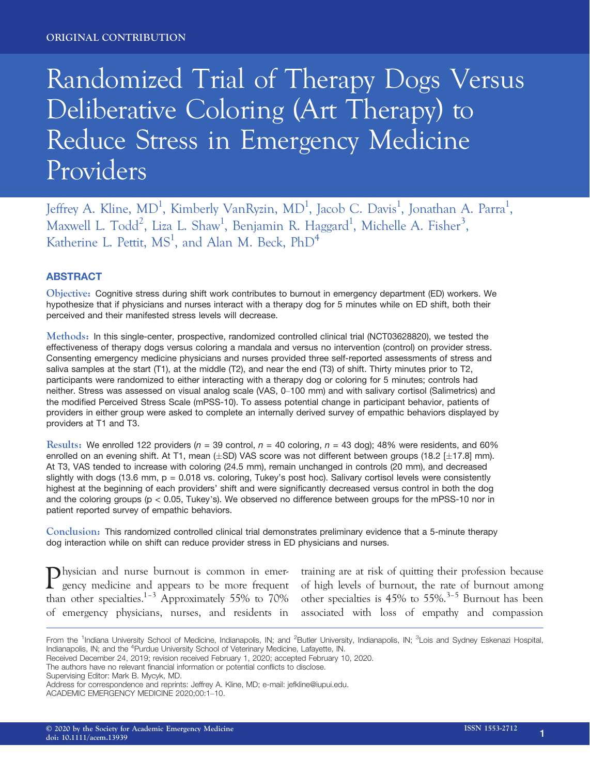# Randomized Trial of Therapy Dogs Versus Deliberative Coloring (Art Therapy) to Reduce Stress in Emergency Medicine Providers

Jeffrey A. Kline, MD<sup>1</sup>, Kimberly VanRyzin, MD<sup>1</sup>, Jacob C. Davis<sup>1</sup>, Jonathan A. Parra<sup>1</sup>, Maxwell L. Todd<sup>2</sup>, Liza L. Shaw<sup>1</sup>, Benjamin R. Haggard<sup>1</sup>, Michelle A. Fisher<sup>3</sup>, Katherine L. Pettit,  $MS<sup>1</sup>$ , and Alan M. Beck,  $PhD<sup>4</sup>$ 

# ABSTRACT

Objective: Cognitive stress during shift work contributes to burnout in emergency department (ED) workers. We hypothesize that if physicians and nurses interact with a therapy dog for 5 minutes while on ED shift, both their perceived and their manifested stress levels will decrease.

Methods: In this single-center, prospective, randomized controlled clinical trial (NCT03628820), we tested the effectiveness of therapy dogs versus coloring a mandala and versus no intervention (control) on provider stress. Consenting emergency medicine physicians and nurses provided three self-reported assessments of stress and saliva samples at the start (T1), at the middle (T2), and near the end (T3) of shift. Thirty minutes prior to T2, participants were randomized to either interacting with a therapy dog or coloring for 5 minutes; controls had neither. Stress was assessed on visual analog scale (VAS, 0–100 mm) and with salivary cortisol (Salimetrics) and the modified Perceived Stress Scale (mPSS-10). To assess potential change in participant behavior, patients of providers in either group were asked to complete an internally derived survey of empathic behaviors displayed by providers at T1 and T3.

Results: We enrolled 122 providers ( $n = 39$  control,  $n = 40$  coloring,  $n = 43$  dog); 48% were residents, and 60% enrolled on an evening shift. At T1, mean  $(\pm SD)$  VAS score was not different between groups (18.2 [ $\pm$ 17.8] mm). At T3, VAS tended to increase with coloring (24.5 mm), remain unchanged in controls (20 mm), and decreased slightly with dogs (13.6 mm, p = 0.018 vs. coloring, Tukey's post hoc). Salivary cortisol levels were consistently highest at the beginning of each providers' shift and were significantly decreased versus control in both the dog and the coloring groups (p < 0.05, Tukey's). We observed no difference between groups for the mPSS-10 nor in patient reported survey of empathic behaviors.

Conclusion: This randomized controlled clinical trial demonstrates preliminary evidence that a 5-minute therapy dog interaction while on shift can reduce provider stress in ED physicians and nurses.

Physician and nurse burnout is common in emergency medicine and appears to be more frequent than other specialties.<sup>1–3</sup> Approximately 55% to 70% of emergency physicians, nurses, and residents in

training are at risk of quitting their profession because of high levels of burnout, the rate of burnout among other specialties is  $45\%$  to  $55\%$ .<sup>3-5</sup> Burnout has been associated with loss of empathy and compassion

Received December 24, 2019; revision received February 1, 2020; accepted February 10, 2020.

Supervising Editor: Mark B. Mycyk, MD.

From the <sup>1</sup>Indiana University School of Medicine, Indianapolis, IN; and <sup>2</sup>Butler University, Indianapolis, IN; <sup>3</sup>Lois and Sydney Eskenazi Hospital, Indianapolis, IN; and the <sup>4</sup>Purdue University School of Veterinary Medicine, Lafayette, IN.

The authors have no relevant financial information or potential conflicts to disclose.

Address for correspondence and reprints: Jeffrey A. Kline, MD; e-mail: [jefkline@iupui.edu](mailto:).

ACADEMIC EMERGENCY MEDICINE 2020;00:1–10.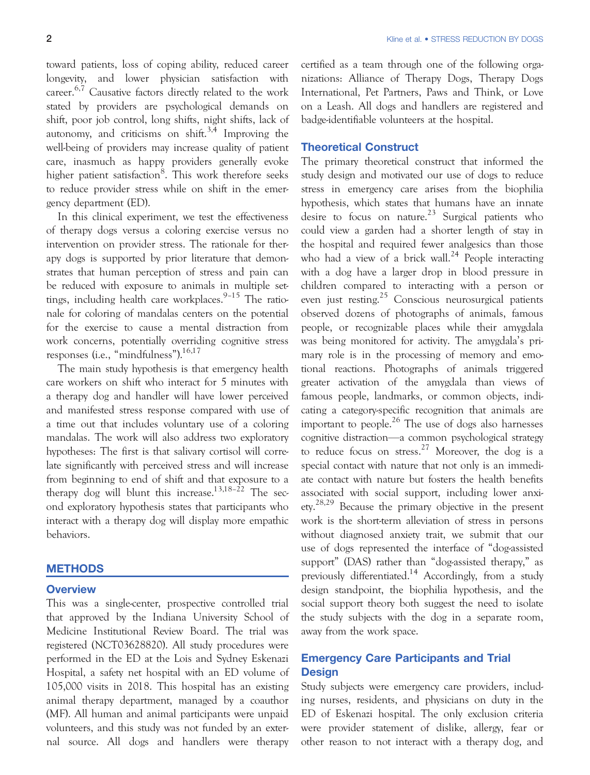toward patients, loss of coping ability, reduced career longevity, and lower physician satisfaction with career.6,7 Causative factors directly related to the work stated by providers are psychological demands on shift, poor job control, long shifts, night shifts, lack of autonomy, and criticisms on shift.<sup>3,4</sup> Improving the well-being of providers may increase quality of patient care, inasmuch as happy providers generally evoke higher patient satisfaction<sup>8</sup>. This work therefore seeks to reduce provider stress while on shift in the emergency department (ED).

In this clinical experiment, we test the effectiveness of therapy dogs versus a coloring exercise versus no intervention on provider stress. The rationale for therapy dogs is supported by prior literature that demonstrates that human perception of stress and pain can be reduced with exposure to animals in multiple settings, including health care workplaces.<sup>9-15</sup> The rationale for coloring of mandalas centers on the potential for the exercise to cause a mental distraction from work concerns, potentially overriding cognitive stress responses (i.e., "mindfulness"). $16,17$ 

The main study hypothesis is that emergency health care workers on shift who interact for 5 minutes with a therapy dog and handler will have lower perceived and manifested stress response compared with use of a time out that includes voluntary use of a coloring mandalas. The work will also address two exploratory hypotheses: The first is that salivary cortisol will correlate significantly with perceived stress and will increase from beginning to end of shift and that exposure to a therapy dog will blunt this increase.<sup>13,18–22</sup> The second exploratory hypothesis states that participants who interact with a therapy dog will display more empathic behaviors.

# **METHODS**

#### **Overview**

This was a single-center, prospective controlled trial that approved by the Indiana University School of Medicine Institutional Review Board. The trial was registered (NCT03628820). All study procedures were performed in the ED at the Lois and Sydney Eskenazi Hospital, a safety net hospital with an ED volume of 105,000 visits in 2018. This hospital has an existing animal therapy department, managed by a coauthor (MF). All human and animal participants were unpaid volunteers, and this study was not funded by an external source. All dogs and handlers were therapy

certified as a team through one of the following organizations: Alliance of Therapy Dogs, Therapy Dogs International, Pet Partners, Paws and Think, or Love on a Leash. All dogs and handlers are registered and badge-identifiable volunteers at the hospital.

#### Theoretical Construct

The primary theoretical construct that informed the study design and motivated our use of dogs to reduce stress in emergency care arises from the biophilia hypothesis, which states that humans have an innate desire to focus on nature.<sup>23</sup> Surgical patients who could view a garden had a shorter length of stay in the hospital and required fewer analgesics than those who had a view of a brick wall.<sup>24</sup> People interacting with a dog have a larger drop in blood pressure in children compared to interacting with a person or even just resting.25 Conscious neurosurgical patients observed dozens of photographs of animals, famous people, or recognizable places while their amygdala was being monitored for activity. The amygdala's primary role is in the processing of memory and emotional reactions. Photographs of animals triggered greater activation of the amygdala than views of famous people, landmarks, or common objects, indicating a category-specific recognition that animals are important to people.<sup>26</sup> The use of dogs also harnesses cognitive distraction—a common psychological strategy to reduce focus on stress.<sup>27</sup> Moreover, the dog is a special contact with nature that not only is an immediate contact with nature but fosters the health benefits associated with social support, including lower anxiety.28,29 Because the primary objective in the present work is the short-term alleviation of stress in persons without diagnosed anxiety trait, we submit that our use of dogs represented the interface of "dog-assisted support" (DAS) rather than "dog-assisted therapy," as previously differentiated.<sup>14</sup> Accordingly, from a study design standpoint, the biophilia hypothesis, and the social support theory both suggest the need to isolate the study subjects with the dog in a separate room, away from the work space.

# Emergency Care Participants and Trial **Design**

Study subjects were emergency care providers, including nurses, residents, and physicians on duty in the ED of Eskenazi hospital. The only exclusion criteria were provider statement of dislike, allergy, fear or other reason to not interact with a therapy dog, and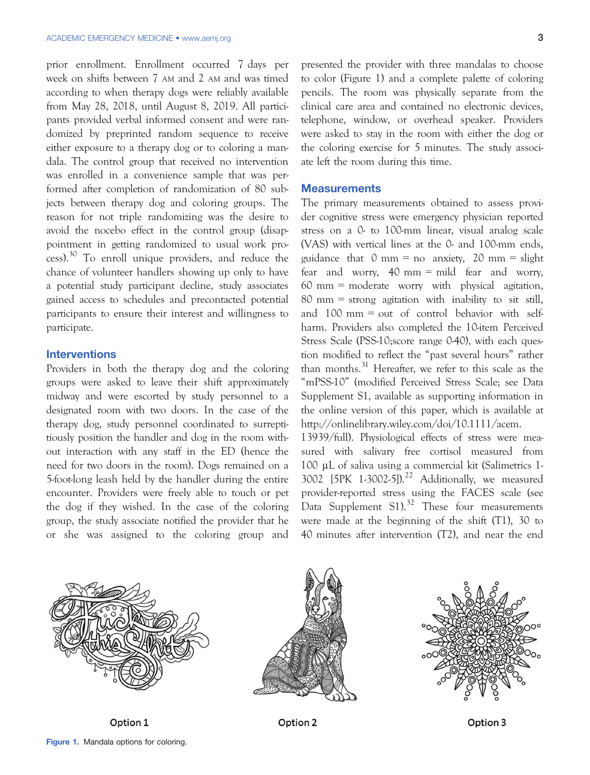prior enrollment. Enrollment occurred 7 days per week on shifts between 7 AM and 2 AM and was timed according to when therapy dogs were reliably available from May 28, 2018, until August 8, 2019. All participants provided verbal informed consent and were randomized by preprinted random sequence to receive either exposure to a therapy dog or to coloring a mandala. The control group that received no intervention was enrolled in a convenience sample that was performed after completion of randomization of 80 subjects between therapy dog and coloring groups. The reason for not triple randomizing was the desire to avoid the nocebo effect in the control group (disappointment in getting randomized to usual work process).<sup>30</sup> To enroll unique providers, and reduce the chance of volunteer handlers showing up only to have a potential study participant decline, study associates gained access to schedules and precontacted potential participants to ensure their interest and willingness to participate.

# **Interventions**

Providers in both the therapy dog and the coloring groups were asked to leave their shift approximately midway and were escorted by study personnel to a designated room with two doors. In the case of the therapy dog, study personnel coordinated to surreptitiously position the handler and dog in the room without interaction with any staff in the ED (hence the need for two doors in the room). Dogs remained on a 5-foot-long leash held by the handler during the entire encounter. Providers were freely able to touch or pet the dog if they wished. In the case of the coloring group, the study associate notified the provider that he or she was assigned to the coloring group and presented the provider with three mandalas to choose to color (Figure 1) and a complete palette of coloring pencils. The room was physically separate from the clinical care area and contained no electronic devices, telephone, window, or overhead speaker. Providers were asked to stay in the room with either the dog or the coloring exercise for 5 minutes. The study associate left the room during this time.

#### **Measurements**

The primary measurements obtained to assess provider cognitive stress were emergency physician reported stress on a 0- to 100-mm linear, visual analog scale (VAS) with vertical lines at the 0- and 100-mm ends, guidance that  $0 \text{ mm} = \text{no}$  anxiety,  $20 \text{ mm} = \text{slight}$ fear and worry, 40 mm = mild fear and worry,  $60 \text{ mm} = \text{moderate}$  worry with physical agitation, 80 mm = strong agitation with inability to sit still, and 100 mm = out of control behavior with selfharm. Providers also completed the 10-item Perceived Stress Scale (PSS-10; score range 0-40), with each question modified to reflect the "past several hours" rather than months.<sup>31</sup> Hereafter, we refer to this scale as the "mPSS-10" (modified Perceived Stress Scale; see Data Supplement S1, available as supporting information in the online version of this paper, which is available at [http://onlinelibrary.wiley.com/doi/10.1111/acem.](http://onlinelibrary.wiley.com/doi/10.1111/acem.13939/full)

[13939/full](http://onlinelibrary.wiley.com/doi/10.1111/acem.13939/full)). Physiological effects of stress were measured with salivary free cortisol measured from 100 µL of saliva using a commercial kit (Salimetrics 1- 3002  $[5PK 1-3002-5]$ <sup>22</sup> Additionally, we measured provider-reported stress using the FACES scale (see Data Supplement S1).<sup>32</sup> These four measurements were made at the beginning of the shift (T1), 30 to 40 minutes after intervention (T2), and near the end





Option 2



Option 3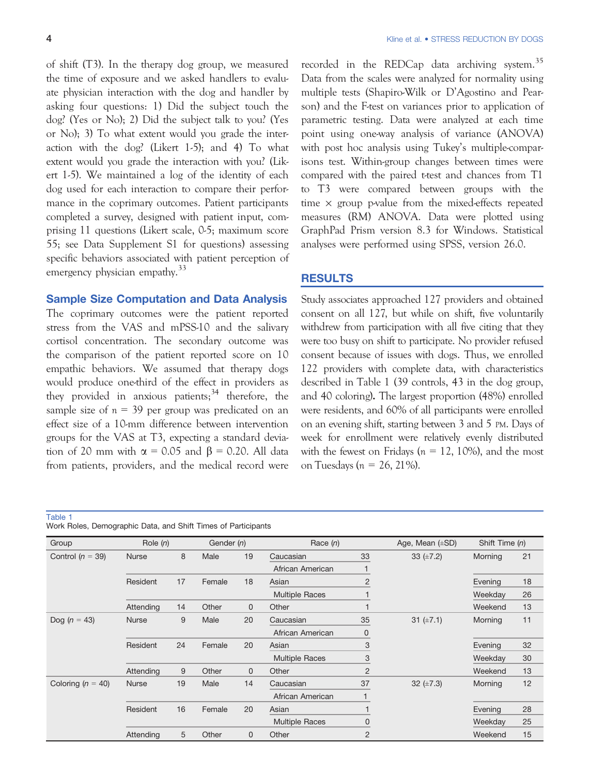of shift (T3). In the therapy dog group, we measured the time of exposure and we asked handlers to evaluate physician interaction with the dog and handler by asking four questions: 1) Did the subject touch the dog? (Yes or No); 2) Did the subject talk to you? (Yes or No); 3) To what extent would you grade the interaction with the dog? (Likert 1-5); and 4) To what extent would you grade the interaction with you? (Likert 1-5). We maintained a log of the identity of each dog used for each interaction to compare their performance in the coprimary outcomes. Patient participants completed a survey, designed with patient input, comprising 11 questions (Likert scale, 0-5; maximum score 55; see Data Supplement S1 for questions) assessing specific behaviors associated with patient perception of emergency physician empathy.<sup>33</sup>

#### Sample Size Computation and Data Analysis

The coprimary outcomes were the patient reported stress from the VAS and mPSS-10 and the salivary cortisol concentration. The secondary outcome was the comparison of the patient reported score on 10 empathic behaviors. We assumed that therapy dogs would produce one-third of the effect in providers as they provided in anxious patients;  $34$  therefore, the sample size of  $n = 39$  per group was predicated on an effect size of a 10-mm difference between intervention groups for the VAS at T3, expecting a standard deviation of 20 mm with  $\alpha = 0.05$  and  $\beta = 0.20$ . All data from patients, providers, and the medical record were recorded in the REDCap data archiving system.<sup>35</sup> Data from the scales were analyzed for normality using multiple tests (Shapiro-Wilk or D'Agostino and Pearson) and the F-test on variances prior to application of parametric testing. Data were analyzed at each time point using one-way analysis of variance (ANOVA) with post hoc analysis using Tukey's multiple-comparisons test. Within-group changes between times were compared with the paired t-test and chances from T1 to T3 were compared between groups with the time  $\times$  group p-value from the mixed-effects repeated measures (RM) ANOVA. Data were plotted using GraphPad Prism version 8.3 for Windows. Statistical analyses were performed using SPSS, version 26.0.

#### RESULTS

Study associates approached 127 providers and obtained consent on all 127, but while on shift, five voluntarily withdrew from participation with all five citing that they were too busy on shift to participate. No provider refused consent because of issues with dogs. Thus, we enrolled 122 providers with complete data, with characteristics described in Table 1 (39 controls, 43 in the dog group, and 40 coloring). The largest proportion (48%) enrolled were residents, and 60% of all participants were enrolled on an evening shift, starting between 3 and 5 PM. Days of week for enrollment were relatively evenly distributed with the fewest on Fridays ( $n = 12, 10\%$ ), and the most on Tuesdays ( $n = 26, 21\%$ ).

Table 1

|  | Work Roles, Demographic Data, and Shift Times of Participants |  |  |  |  |  |
|--|---------------------------------------------------------------|--|--|--|--|--|
|--|---------------------------------------------------------------|--|--|--|--|--|

| Group                | Role $(n)$   |    | Gender (n) |              | Race $(n)$            |                | Age, Mean $(\pm SD)$ | Shift Time (n) |    |
|----------------------|--------------|----|------------|--------------|-----------------------|----------------|----------------------|----------------|----|
| Control ( $n = 39$ ) | <b>Nurse</b> | 8  | Male       | 19           | Caucasian             | 33             | 33 $(\pm 7.2)$       | Morning        | 21 |
|                      |              |    |            |              | African American      |                |                      |                |    |
|                      | Resident     | 17 | Female     | 18           | Asian                 | $\overline{2}$ |                      | Evening        | 18 |
|                      |              |    |            |              | <b>Multiple Races</b> |                |                      | Weekday        | 26 |
|                      | Attending    | 14 | Other      | $\mathbf{0}$ | Other                 | $\mathbf 1$    |                      | Weekend        | 13 |
| Dog ( $n = 43$ )     | Nurse        | 9  | Male       | 20           | Caucasian             | 35             | 31 $(\pm 7.1)$       | Morning        | 11 |
|                      |              |    |            |              | African American      | 0              |                      |                |    |
|                      | Resident     | 24 | Female     | 20           | Asian                 | 3              |                      | Evening        | 32 |
|                      |              |    |            |              | <b>Multiple Races</b> | 3              |                      | Weekday        | 30 |
|                      | Attending    | 9  | Other      | $\mathbf{0}$ | Other                 | $\overline{2}$ |                      | Weekend        | 13 |
| Coloring $(n = 40)$  | <b>Nurse</b> | 19 | Male       | 14           | Caucasian             | 37             | 32 $(\pm 7.3)$       | Morning        | 12 |
|                      |              |    |            |              | African American      |                |                      |                |    |
|                      | Resident     | 16 | Female     | 20           | Asian                 | 1              |                      | Evening        | 28 |
|                      |              |    |            |              | <b>Multiple Races</b> | $\mathbf 0$    |                      | Weekday        | 25 |
|                      | Attending    | 5  | Other      | $\mathbf{0}$ | Other                 | $\overline{2}$ |                      | Weekend        | 15 |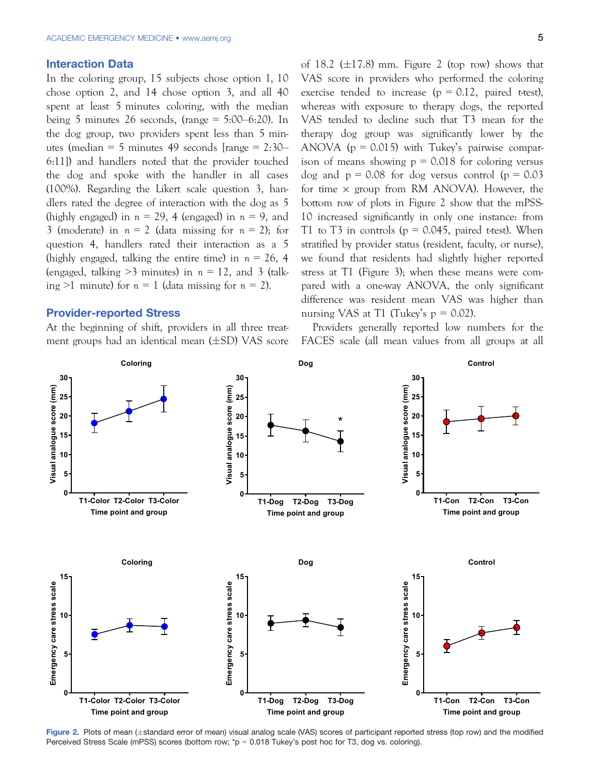#### Interaction Data

In the coloring group, 15 subjects chose option 1, 10 chose option 2, and 14 chose option 3, and all 40 spent at least 5 minutes coloring, with the median being 5 minutes 26 seconds, (range  $= 5:00-6:20$ ). In the dog group, two providers spent less than 5 minutes (median = 5 minutes 49 seconds [range = 2:30– 6:11]) and handlers noted that the provider touched the dog and spoke with the handler in all cases (100%). Regarding the Likert scale question 3, handlers rated the degree of interaction with the dog as 5 (highly engaged) in  $n = 29$ , 4 (engaged) in  $n = 9$ , and 3 (moderate) in  $n = 2$  (data missing for  $n = 2$ ); for question 4, handlers rated their interaction as a 5 (highly engaged, talking the entire time) in  $n = 26, 4$ (engaged, talking  $>3$  minutes) in  $n = 12$ , and 3 (talking >1 minute) for  $n = 1$  (data missing for  $n = 2$ ).

# Provider-reported Stress

At the beginning of shift, providers in all three treatment groups had an identical mean  $(\pm SD)$  VAS score of 18.2 ( $\pm$ 17.8) mm. Figure 2 (top row) shows that VAS score in providers who performed the coloring exercise tended to increase ( $p = 0.12$ , paired t-test), whereas with exposure to therapy dogs, the reported VAS tended to decline such that T3 mean for the therapy dog group was significantly lower by the ANOVA ( $p = 0.015$ ) with Tukey's pairwise comparison of means showing  $p = 0.018$  for coloring versus dog and  $p = 0.08$  for dog versus control ( $p = 0.03$ ) for time  $\times$  group from RM ANOVA). However, the bottom row of plots in Figure 2 show that the mPSS-10 increased significantly in only one instance: from T1 to T3 in controls ( $p = 0.045$ , paired t-test). When stratified by provider status (resident, faculty, or nurse), we found that residents had slightly higher reported stress at T1 (Figure 3); when these means were compared with a one-way ANOVA, the only significant difference was resident mean VAS was higher than nursing VAS at T1 (Tukey's  $p = 0.02$ ).

Providers generally reported low numbers for the FACES scale (all mean values from all groups at all



Figure 2. Plots of mean (±standard error of mean) visual analog scale (VAS) scores of participant reported stress (top row) and the modified Perceived Stress Scale (mPSS) scores (bottom row; \*p = 0.018 Tukey's post hoc for T3, dog vs. coloring).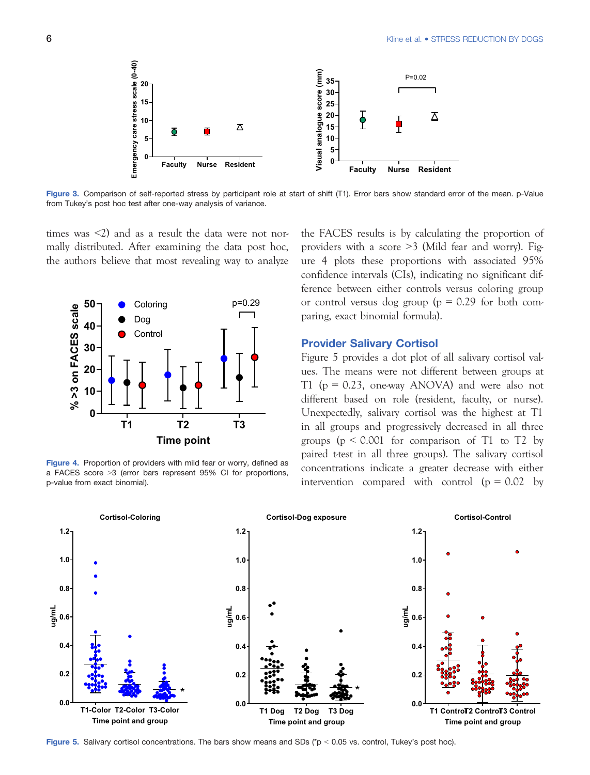

Figure 3. Comparison of self-reported stress by participant role at start of shift (T1). Error bars show standard error of the mean. p-Value from Tukey's post hoc test after one-way analysis of variance.

times was  $\langle 2 \rangle$  and as a result the data were not normally distributed. After examining the data post hoc, the authors believe that most revealing way to analyze



Figure 4. Proportion of providers with mild fear or worry, defined as a FACES score >3 (error bars represent 95% CI for proportions, p-value from exact binomial).

the FACES results is by calculating the proportion of providers with a score >3 (Mild fear and worry). Figure 4 plots these proportions with associated 95% confidence intervals (CIs), indicating no significant difference between either controls versus coloring group or control versus dog group ( $p = 0.29$  for both comparing, exact binomial formula).

# Provider Salivary Cortisol

Figure 5 provides a dot plot of all salivary cortisol values. The means were not different between groups at T1 ( $p = 0.23$ , one-way ANOVA) and were also not different based on role (resident, faculty, or nurse). Unexpectedly, salivary cortisol was the highest at T1 in all groups and progressively decreased in all three groups ( $p \le 0.001$  for comparison of T1 to T2 by paired t-test in all three groups). The salivary cortisol concentrations indicate a greater decrease with either intervention compared with control  $(p = 0.02$  by



Figure 5. Salivary cortisol concentrations. The bars show means and SDs ( $p < 0.05$  vs. control, Tukey's post hoc).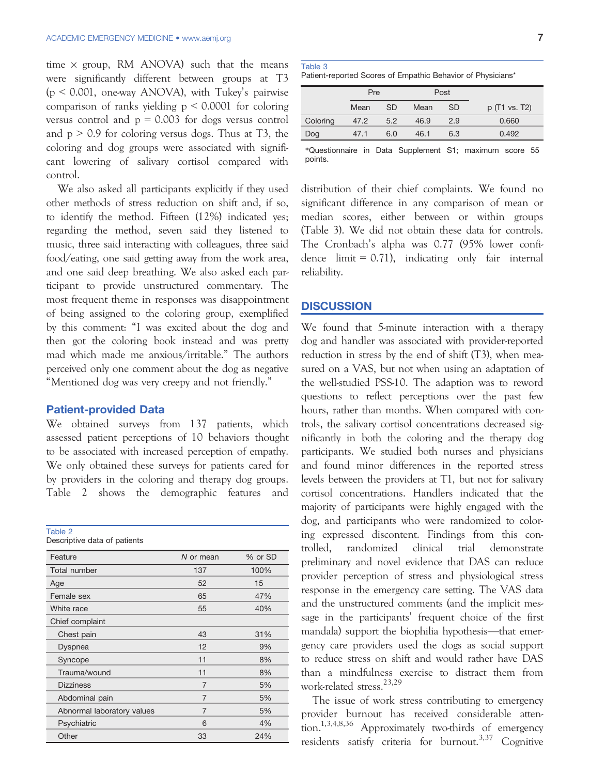time  $\times$  group, RM ANOVA) such that the means were significantly different between groups at T3  $(p \le 0.001$ , one-way ANOVA), with Tukey's pairwise comparison of ranks yielding  $p \leq 0.0001$  for coloring versus control and  $p = 0.003$  for dogs versus control and  $p > 0.9$  for coloring versus dogs. Thus at T3, the coloring and dog groups were associated with significant lowering of salivary cortisol compared with control.

We also asked all participants explicitly if they used other methods of stress reduction on shift and, if so, to identify the method. Fifteen (12%) indicated yes; regarding the method, seven said they listened to music, three said interacting with colleagues, three said food/eating, one said getting away from the work area, and one said deep breathing. We also asked each participant to provide unstructured commentary. The most frequent theme in responses was disappointment of being assigned to the coloring group, exemplified by this comment: "I was excited about the dog and then got the coloring book instead and was pretty mad which made me anxious/irritable." The authors perceived only one comment about the dog as negative "Mentioned dog was very creepy and not friendly."

# Patient-provided Data

We obtained surveys from 137 patients, which assessed patient perceptions of 10 behaviors thought to be associated with increased perception of empathy. We only obtained these surveys for patients cared for by providers in the coloring and therapy dog groups. Table 2 shows the demographic features and

Table 2 nabio 2<br>Descriptive dat:

| Descriptive data of patients |  |  |  |
|------------------------------|--|--|--|
|------------------------------|--|--|--|

| Feature                    | N or mean      | % or SD |
|----------------------------|----------------|---------|
| Total number               | 137            | 100%    |
| Age                        | 52             | 15      |
| Female sex                 | 65             | 47%     |
| White race                 | 55             | 40%     |
| Chief complaint            |                |         |
| Chest pain                 | 43             | 31%     |
| Dyspnea                    | 12             | 9%      |
| Syncope                    | 11             | 8%      |
| Trauma/wound               | 11             | 8%      |
| <b>Dizziness</b>           | $\overline{7}$ | 5%      |
| Abdominal pain             | $\overline{7}$ | 5%      |
| Abnormal laboratory values | $\overline{7}$ | 5%      |
| Psychiatric                | 6              | 4%      |
| Other                      | 33             | 24%     |

| Table 3 |  |  |
|---------|--|--|
|         |  |  |

| Patient-reported Scores of Empathic Behavior of Physicians' |  |  |  |  |
|-------------------------------------------------------------|--|--|--|--|
|                                                             |  |  |  |  |

|          |      | Pre       |      | Post      |               |
|----------|------|-----------|------|-----------|---------------|
|          | Mean | <b>SD</b> | Mean | <b>SD</b> | p (T1 vs. T2) |
| Coloring | 47.2 | 5.2       | 46.9 | 2.9       | 0.660         |
| Dog      | 47.1 | 6.0       | 46.1 | 6.3       | 0.492         |
|          |      |           |      |           |               |

\*Questionnaire in Data Supplement S1; maximum score 55 points.

distribution of their chief complaints. We found no significant difference in any comparison of mean or median scores, either between or within groups (Table 3). We did not obtain these data for controls. The Cronbach's alpha was 0.77 (95% lower confidence  $\text{limit} = 0.71$ ), indicating only fair internal reliability.

#### **DISCUSSION**

We found that 5-minute interaction with a therapy dog and handler was associated with provider-reported reduction in stress by the end of shift (T3), when measured on a VAS, but not when using an adaptation of the well-studied PSS-10. The adaption was to reword questions to reflect perceptions over the past few hours, rather than months. When compared with controls, the salivary cortisol concentrations decreased significantly in both the coloring and the therapy dog participants. We studied both nurses and physicians and found minor differences in the reported stress levels between the providers at T1, but not for salivary cortisol concentrations. Handlers indicated that the majority of participants were highly engaged with the dog, and participants who were randomized to coloring expressed discontent. Findings from this controlled, randomized clinical trial demonstrate preliminary and novel evidence that DAS can reduce provider perception of stress and physiological stress response in the emergency care setting. The VAS data and the unstructured comments (and the implicit message in the participants' frequent choice of the first mandala) support the biophilia hypothesis—that emergency care providers used the dogs as social support to reduce stress on shift and would rather have DAS than a mindfulness exercise to distract them from work-related stress.<sup>23,29</sup>

The issue of work stress contributing to emergency provider burnout has received considerable attention.1,3,4,8,36 Approximately two-thirds of emergency residents satisfy criteria for burnout.<sup>3,37</sup> Cognitive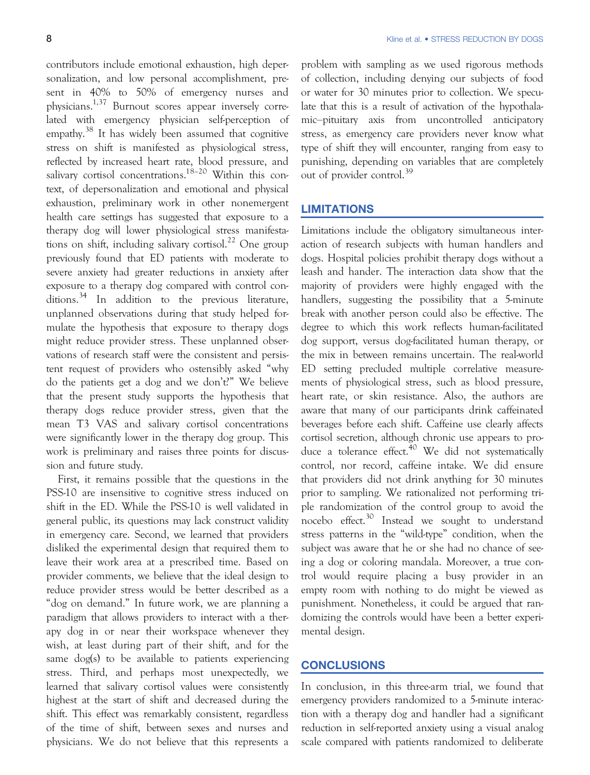contributors include emotional exhaustion, high depersonalization, and low personal accomplishment, present in 40% to 50% of emergency nurses and physicians.1,37 Burnout scores appear inversely correlated with emergency physician self-perception of empathy.<sup>38</sup> It has widely been assumed that cognitive stress on shift is manifested as physiological stress, reflected by increased heart rate, blood pressure, and salivary cortisol concentrations.<sup>18-20</sup> Within this context, of depersonalization and emotional and physical exhaustion, preliminary work in other nonemergent health care settings has suggested that exposure to a therapy dog will lower physiological stress manifestations on shift, including salivary cortisol.<sup>22</sup> One group previously found that ED patients with moderate to severe anxiety had greater reductions in anxiety after exposure to a therapy dog compared with control conditions.<sup>34</sup> In addition to the previous literature, unplanned observations during that study helped formulate the hypothesis that exposure to therapy dogs might reduce provider stress. These unplanned observations of research staff were the consistent and persistent request of providers who ostensibly asked "why do the patients get a dog and we don't?" We believe that the present study supports the hypothesis that therapy dogs reduce provider stress, given that the mean T3 VAS and salivary cortisol concentrations were significantly lower in the therapy dog group. This work is preliminary and raises three points for discussion and future study.

First, it remains possible that the questions in the PSS-10 are insensitive to cognitive stress induced on shift in the ED. While the PSS-10 is well validated in general public, its questions may lack construct validity in emergency care. Second, we learned that providers disliked the experimental design that required them to leave their work area at a prescribed time. Based on provider comments, we believe that the ideal design to reduce provider stress would be better described as a "dog on demand." In future work, we are planning a paradigm that allows providers to interact with a therapy dog in or near their workspace whenever they wish, at least during part of their shift, and for the same dog(s) to be available to patients experiencing stress. Third, and perhaps most unexpectedly, we learned that salivary cortisol values were consistently highest at the start of shift and decreased during the shift. This effect was remarkably consistent, regardless of the time of shift, between sexes and nurses and physicians. We do not believe that this represents a

problem with sampling as we used rigorous methods of collection, including denying our subjects of food or water for 30 minutes prior to collection. We speculate that this is a result of activation of the hypothalamic–pituitary axis from uncontrolled anticipatory stress, as emergency care providers never know what type of shift they will encounter, ranging from easy to punishing, depending on variables that are completely out of provider control.<sup>39</sup>

#### **LIMITATIONS**

Limitations include the obligatory simultaneous interaction of research subjects with human handlers and dogs. Hospital policies prohibit therapy dogs without a leash and hander. The interaction data show that the majority of providers were highly engaged with the handlers, suggesting the possibility that a 5-minute break with another person could also be effective. The degree to which this work reflects human-facilitated dog support, versus dog-facilitated human therapy, or the mix in between remains uncertain. The real-world ED setting precluded multiple correlative measurements of physiological stress, such as blood pressure, heart rate, or skin resistance. Also, the authors are aware that many of our participants drink caffeinated beverages before each shift. Caffeine use clearly affects cortisol secretion, although chronic use appears to produce a tolerance effect. $40$  We did not systematically control, nor record, caffeine intake. We did ensure that providers did not drink anything for 30 minutes prior to sampling. We rationalized not performing triple randomization of the control group to avoid the nocebo effect.<sup>30</sup> Instead we sought to understand stress patterns in the "wild-type" condition, when the subject was aware that he or she had no chance of seeing a dog or coloring mandala. Moreover, a true control would require placing a busy provider in an empty room with nothing to do might be viewed as punishment. Nonetheless, it could be argued that randomizing the controls would have been a better experimental design.

# **CONCLUSIONS**

In conclusion, in this three-arm trial, we found that emergency providers randomized to a 5-minute interaction with a therapy dog and handler had a significant reduction in self-reported anxiety using a visual analog scale compared with patients randomized to deliberate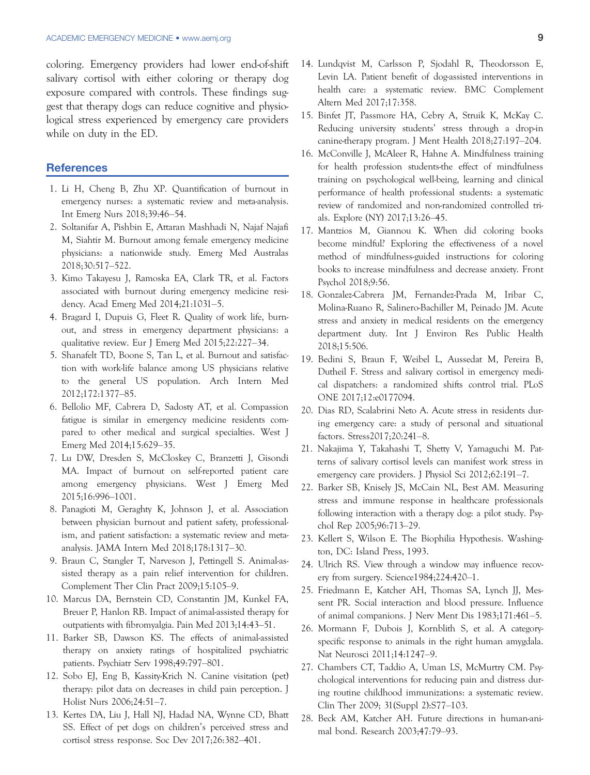coloring. Emergency providers had lower end-of-shift salivary cortisol with either coloring or therapy dog exposure compared with controls. These findings suggest that therapy dogs can reduce cognitive and physiological stress experienced by emergency care providers while on duty in the ED.

### **References**

- 1. Li H, Cheng B, Zhu XP. Quantification of burnout in emergency nurses: a systematic review and meta-analysis. Int Emerg Nurs 2018;39:46–54.
- 2. Soltanifar A, Pishbin E, Attaran Mashhadi N, Najaf Najafi M, Siahtir M. Burnout among female emergency medicine physicians: a nationwide study. Emerg Med Australas 2018;30:517–522.
- 3. Kimo Takayesu J, Ramoska EA, Clark TR, et al. Factors associated with burnout during emergency medicine residency. Acad Emerg Med 2014;21:1031–5.
- 4. Bragard I, Dupuis G, Fleet R. Quality of work life, burnout, and stress in emergency department physicians: a qualitative review. Eur J Emerg Med 2015;22:227–34.
- 5. Shanafelt TD, Boone S, Tan L, et al. Burnout and satisfaction with work-life balance among US physicians relative to the general US population. Arch Intern Med 2012;172:1377–85.
- 6. Bellolio MF, Cabrera D, Sadosty AT, et al. Compassion fatigue is similar in emergency medicine residents compared to other medical and surgical specialties. West J Emerg Med 2014;15:629–35.
- 7. Lu DW, Dresden S, McCloskey C, Branzetti J, Gisondi MA. Impact of burnout on self-reported patient care among emergency physicians. West J Emerg Med 2015;16:996–1001.
- 8. Panagioti M, Geraghty K, Johnson J, et al. Association between physician burnout and patient safety, professionalism, and patient satisfaction: a systematic review and metaanalysis. JAMA Intern Med 2018;178:1317–30.
- 9. Braun C, Stangler T, Narveson J, Pettingell S. Animal-assisted therapy as a pain relief intervention for children. Complement Ther Clin Pract 2009;15:105–9.
- 10. Marcus DA, Bernstein CD, Constantin JM, Kunkel FA, Breuer P, Hanlon RB. Impact of animal-assisted therapy for outpatients with fibromyalgia. Pain Med 2013;14:43–51.
- 11. Barker SB, Dawson KS. The effects of animal-assisted therapy on anxiety ratings of hospitalized psychiatric patients. Psychiatr Serv 1998;49:797–801.
- 12. Sobo EJ, Eng B, Kassity-Krich N. Canine visitation (pet) therapy: pilot data on decreases in child pain perception. J Holist Nurs 2006;24:51–7.
- 13. Kertes DA, Liu J, Hall NJ, Hadad NA, Wynne CD, Bhatt SS. Effect of pet dogs on children's perceived stress and cortisol stress response. Soc Dev 2017;26:382–401.
- 14. Lundqvist M, Carlsson P, Sjodahl R, Theodorsson E, Levin LA. Patient benefit of dog-assisted interventions in health care: a systematic review. BMC Complement Altern Med 2017;17:358.
- 15. Binfet JT, Passmore HA, Cebry A, Struik K, McKay C. Reducing university students' stress through a drop-in canine-therapy program. J Ment Health 2018;27:197–204.
- 16. McConville J, McAleer R, Hahne A. Mindfulness training for health profession students-the effect of mindfulness training on psychological well-being, learning and clinical performance of health professional students: a systematic review of randomized and non-randomized controlled trials. Explore (NY) 2017;13:26–45.
- 17. Mantzios M, Giannou K. When did coloring books become mindful? Exploring the effectiveness of a novel method of mindfulness-guided instructions for coloring books to increase mindfulness and decrease anxiety. Front Psychol 2018;9:56.
- 18. Gonzalez-Cabrera JM, Fernandez-Prada M, Iribar C, Molina-Ruano R, Salinero-Bachiller M, Peinado JM. Acute stress and anxiety in medical residents on the emergency department duty. Int J Environ Res Public Health 2018;15:506.
- 19. Bedini S, Braun F, Weibel L, Aussedat M, Pereira B, Dutheil F. Stress and salivary cortisol in emergency medical dispatchers: a randomized shifts control trial. PLoS ONE 2017;12:e0177094.
- 20. Dias RD, Scalabrini Neto A. Acute stress in residents during emergency care: a study of personal and situational factors. Stress2017;20:241–8.
- 21. Nakajima Y, Takahashi T, Shetty V, Yamaguchi M. Patterns of salivary cortisol levels can manifest work stress in emergency care providers. J Physiol Sci 2012;62:191–7.
- 22. Barker SB, Knisely JS, McCain NL, Best AM. Measuring stress and immune response in healthcare professionals following interaction with a therapy dog: a pilot study. Psychol Rep 2005;96:713–29.
- 23. Kellert S, Wilson E. The Biophilia Hypothesis. Washington, DC: Island Press, 1993.
- 24. Ulrich RS. View through a window may influence recovery from surgery. Science1984;224:420–1.
- 25. Friedmann E, Katcher AH, Thomas SA, Lynch JJ, Messent PR. Social interaction and blood pressure. Influence of animal companions. J Nerv Ment Dis 1983;171:461–5.
- 26. Mormann F, Dubois J, Kornblith S, et al. A categoryspecific response to animals in the right human amygdala. Nat Neurosci 2011;14:1247–9.
- 27. Chambers CT, Taddio A, Uman LS, McMurtry CM. Psychological interventions for reducing pain and distress during routine childhood immunizations: a systematic review. Clin Ther 2009; 31(Suppl 2):S77–103.
- 28. Beck AM, Katcher AH. Future directions in human-animal bond. Research 2003;47:79–93.